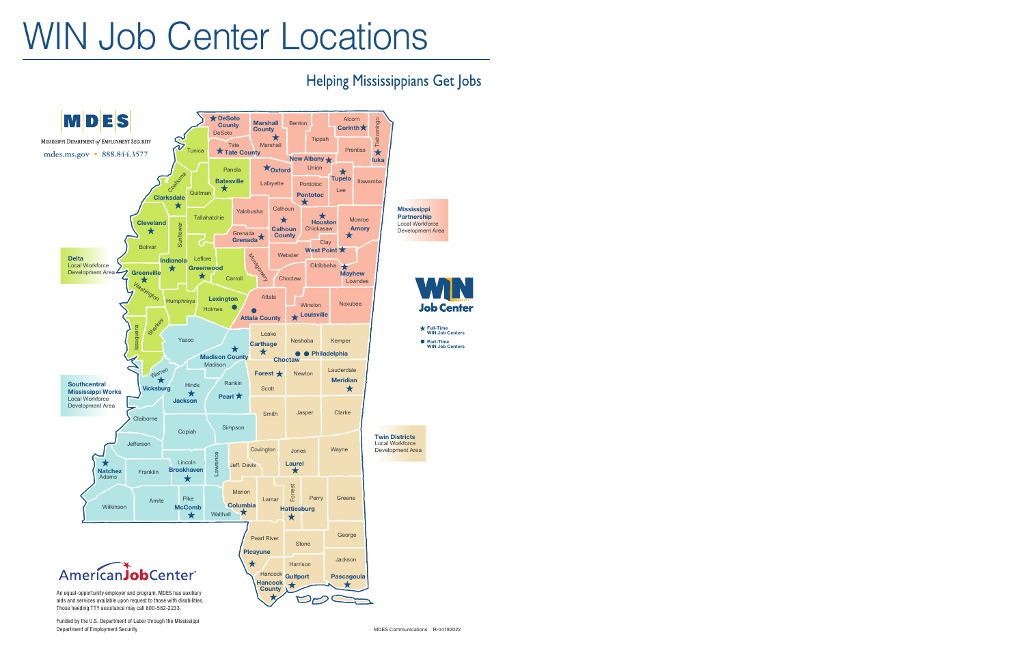## WIN Job Center Locations

## **Helping Mississippians Get Jobs**



**Mississippi Partnership** Local Workforce Development Area



**Part-Time WIN Job Centers Full-Time WIN Job Centers**

Local Workforce Development Area

aids and services available upon request to those with disabilities. Those needing TTY assistance may call 800-582-2233.

Funded by the U.S. Department of Labor through the Mississippi Department of Employment Security